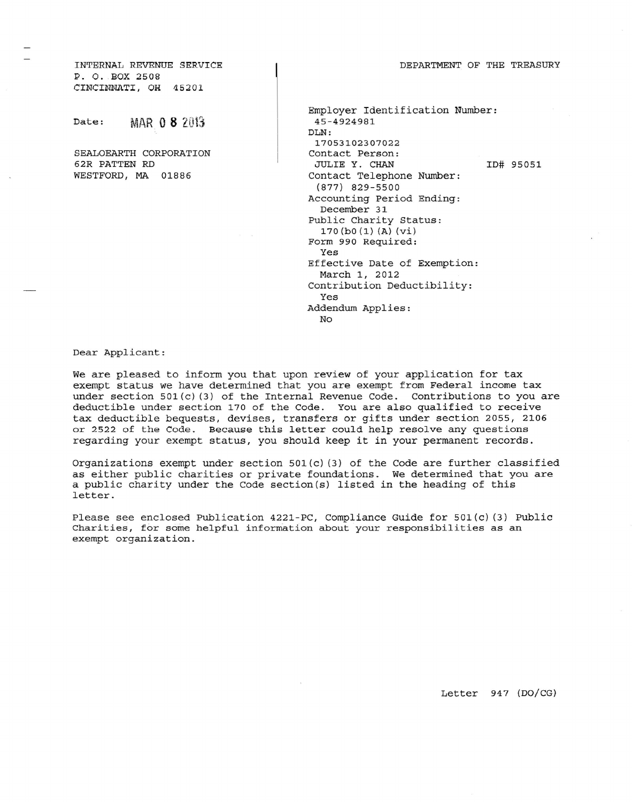INTERNAL REVENUE SERVICE P. O. BOX 250B CINCINNATI, OH *45201*

Date: MAR **08** 20t3

SEALOEARTH CORPORATION 62R PATTEN RD WESTFORD, MA 01886

| Employer Identification Number:<br>45-4924981 |           |
|-----------------------------------------------|-----------|
| DLN:                                          |           |
| 17053102307022                                |           |
| Contact Person:                               |           |
| JULIE Y. CHAN                                 | ID# 95051 |
| Contact Telephone Number:                     |           |
| (877) 829-5500                                |           |
| Accounting Period Ending:                     |           |
| December 31                                   |           |
| Public Charity Status:                        |           |
| 170(b0(1)(A)(vi))                             |           |
| Form 990 Required:                            |           |
| Yes                                           |           |
| Effective Date of Exemption:                  |           |
| March 1, 2012                                 |           |
| Contribution Deductibility:                   |           |
| Yes                                           |           |
| Addendum Applies:                             |           |
| No                                            |           |

Dear Applicant:

We are pleased to inform *you* that upon review of your application for tax exempt status we have determined that *you* are exempt from Federal income tax under section 501(c) (3) of the Internal Revenue Code. Contributions to *you* are deductible under section 170 of the Code. You are also qualified to receive tax deductible bequests, devises, transfers or gifts under section 2055, 2106 or 2522 of the Code. Because this letter could help resolve any questions regarding your exempt status, *you* should keep it in your permanent records.

Organizations exempt under section  $501(c)$  (3) of the Code are further classified as either public charities or private foundations. We determined that you are a public charity under the Code section(s) listed in the heading of this letter.

Please see enclosed Publication 4221-PC, Compliance Guide for 501(C) (3) Public Charities, for some helpful information about your responsibilities as an exempt organization.

Letter 947 (DO/CG)